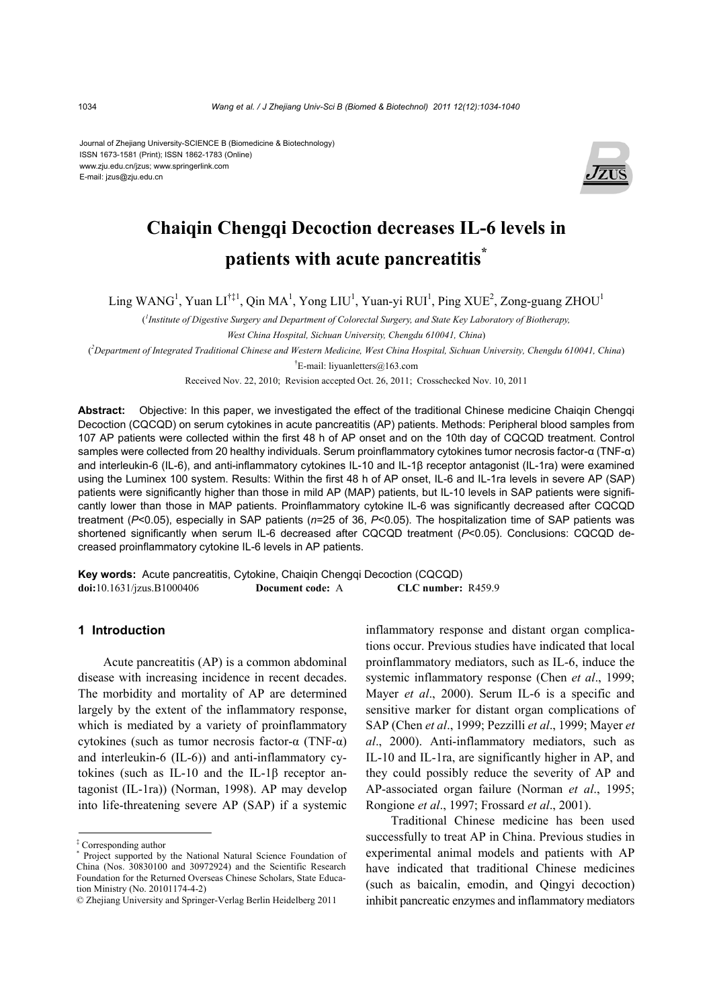Journal of Zhejiang University-SCIENCE B (Biomedicine & Biotechnology) ISSN 1673-1581 (Print); ISSN 1862-1783 (Online) www.zju.edu.cn/jzus; www.springerlink.com E-mail: jzus@zju.edu.cn



# **Chaiqin Chengqi Decoction decreases IL-6 levels in patients with acute pancreatitis\***

Ling WANG<sup>1</sup>, Yuan LI<sup>†‡1</sup>, Qin MA<sup>1</sup>, Yong LIU<sup>1</sup>, Yuan-yi RUI<sup>1</sup>, Ping XUE<sup>2</sup>, Zong-guang ZHOU<sup>1</sup>

( *1 Institute of Digestive Surgery and Department of Colorectal Surgery, and State Key Laboratory of Biotherapy, West China Hospital, Sichuan University, Chengdu 610041, China*)

( *2 Department of Integrated Traditional Chinese and Western Medicine, West China Hospital, Sichuan University, Chengdu 610041, China*)

† E-mail: liyuanletters@163.com

Received Nov. 22, 2010; Revision accepted Oct. 26, 2011; Crosschecked Nov. 10, 2011

**Abstract:** Objective: In this paper, we investigated the effect of the traditional Chinese medicine Chaiqin Chengqi Decoction (CQCQD) on serum cytokines in acute pancreatitis (AP) patients. Methods: Peripheral blood samples from 107 AP patients were collected within the first 48 h of AP onset and on the 10th day of CQCQD treatment. Control samples were collected from 20 healthy individuals. Serum proinflammatory cytokines tumor necrosis factor-α (TNF-α) and interleukin-6 (IL-6), and anti-inflammatory cytokines IL-10 and IL-1β receptor antagonist (IL-1ra) were examined using the Luminex 100 system. Results: Within the first 48 h of AP onset, IL-6 and IL-1ra levels in severe AP (SAP) patients were significantly higher than those in mild AP (MAP) patients, but IL-10 levels in SAP patients were significantly lower than those in MAP patients. Proinflammatory cytokine IL-6 was significantly decreased after CQCQD treatment (*P*<0.05), especially in SAP patients (*n*=25 of 36, *P*<0.05). The hospitalization time of SAP patients was shortened significantly when serum IL-6 decreased after CQCQD treatment (*P*<0.05). Conclusions: CQCQD decreased proinflammatory cytokine IL-6 levels in AP patients.

**Key words:** Acute pancreatitis, Cytokine, Chaiqin Chengqi Decoction (CQCQD) **doi:**10.1631/jzus.B1000406 **Document code:** A **CLC number:** R459.9

### **1 Introduction**

Acute pancreatitis (AP) is a common abdominal disease with increasing incidence in recent decades. The morbidity and mortality of AP are determined largely by the extent of the inflammatory response, which is mediated by a variety of proinflammatory cytokines (such as tumor necrosis factor-α (TNF-α) and interleukin-6 (IL-6)) and anti-inflammatory cytokines (such as IL-10 and the IL-1β receptor antagonist (IL-1ra)) (Norman, 1998). AP may develop into life-threatening severe AP (SAP) if a systemic inflammatory response and distant organ complications occur. Previous studies have indicated that local proinflammatory mediators, such as IL-6, induce the systemic inflammatory response (Chen *et al*., 1999; Mayer *et al*., 2000). Serum IL-6 is a specific and sensitive marker for distant organ complications of SAP (Chen *et al*., 1999; Pezzilli *et al*., 1999; Mayer *et al*., 2000). Anti-inflammatory mediators, such as IL-10 and IL-1ra, are significantly higher in AP, and they could possibly reduce the severity of AP and AP-associated organ failure (Norman *et al*., 1995; Rongione *et al*., 1997; Frossard *et al*., 2001).

Traditional Chinese medicine has been used successfully to treat AP in China. Previous studies in experimental animal models and patients with AP have indicated that traditional Chinese medicines (such as baicalin, emodin, and Qingyi decoction) inhibit pancreatic enzymes and inflammatory mediators

<sup>&</sup>lt;sup>‡</sup> Corresponding author<br><sup>\*</sup> Project supported by

Project supported by the National Natural Science Foundation of China (Nos. 30830100 and 30972924) and the Scientific Research Foundation for the Returned Overseas Chinese Scholars, State Education Ministry (No. 20101174-4-2)

<sup>©</sup> Zhejiang University and Springer-Verlag Berlin Heidelberg 2011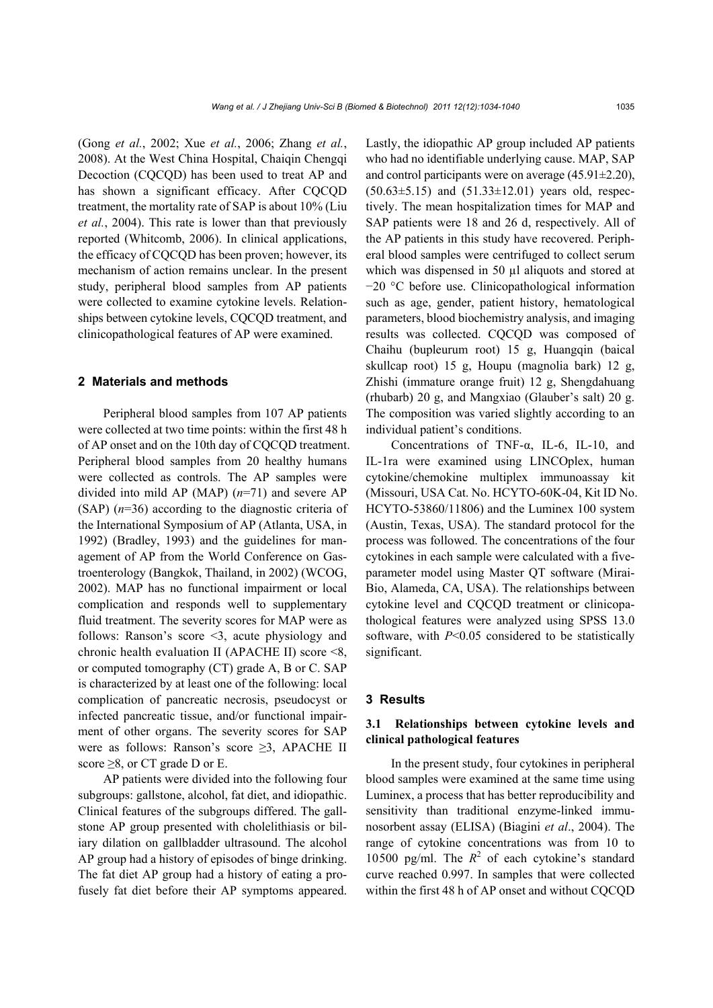(Gong *et al.*, 2002; Xue *et al.*, 2006; Zhang *et al.*, 2008). At the West China Hospital, Chaiqin Chengqi Decoction (CQCQD) has been used to treat AP and has shown a significant efficacy. After COCOD treatment, the mortality rate of SAP is about 10% (Liu *et al.*, 2004). This rate is lower than that previously reported (Whitcomb, 2006). In clinical applications, the efficacy of CQCQD has been proven; however, its mechanism of action remains unclear. In the present study, peripheral blood samples from AP patients were collected to examine cytokine levels. Relationships between cytokine levels, CQCQD treatment, and clinicopathological features of AP were examined.

#### **2 Materials and methods**

Peripheral blood samples from 107 AP patients were collected at two time points: within the first 48 h of AP onset and on the 10th day of CQCQD treatment. Peripheral blood samples from 20 healthy humans were collected as controls. The AP samples were divided into mild AP (MAP) (*n*=71) and severe AP (SAP) (*n*=36) according to the diagnostic criteria of the International Symposium of AP (Atlanta, USA, in 1992) (Bradley, 1993) and the guidelines for management of AP from the World Conference on Gastroenterology (Bangkok, Thailand, in 2002) (WCOG, 2002). MAP has no functional impairment or local complication and responds well to supplementary fluid treatment. The severity scores for MAP were as follows: Ranson's score <3, acute physiology and chronic health evaluation II (APACHE II) score <8, or computed tomography (CT) grade A, B or C. SAP is characterized by at least one of the following: local complication of pancreatic necrosis, pseudocyst or infected pancreatic tissue, and/or functional impairment of other organs. The severity scores for SAP were as follows: Ranson's score ≥3, APACHE II score  $\geq$ 8, or CT grade D or E.

AP patients were divided into the following four subgroups: gallstone, alcohol, fat diet, and idiopathic. Clinical features of the subgroups differed. The gallstone AP group presented with cholelithiasis or biliary dilation on gallbladder ultrasound. The alcohol AP group had a history of episodes of binge drinking. The fat diet AP group had a history of eating a profusely fat diet before their AP symptoms appeared.

Lastly, the idiopathic AP group included AP patients who had no identifiable underlying cause. MAP, SAP and control participants were on average (45.91±2.20),  $(50.63 \pm 5.15)$  and  $(51.33 \pm 12.01)$  years old, respectively. The mean hospitalization times for MAP and SAP patients were 18 and 26 d, respectively. All of the AP patients in this study have recovered. Peripheral blood samples were centrifuged to collect serum which was dispensed in 50 µl aliquots and stored at −20 °C before use. Clinicopathological information such as age, gender, patient history, hematological parameters, blood biochemistry analysis, and imaging results was collected. CQCQD was composed of Chaihu (bupleurum root) 15 g, Huangqin (baical skullcap root) 15 g, Houpu (magnolia bark) 12 g, Zhishi (immature orange fruit) 12 g, Shengdahuang (rhubarb) 20 g, and Mangxiao (Glauber's salt) 20 g. The composition was varied slightly according to an individual patient's conditions.

Concentrations of TNF-α, IL-6, IL-10, and IL-1ra were examined using LINCOplex, human cytokine/chemokine multiplex immunoassay kit (Missouri, USA Cat. No. HCYTO-60K-04, Kit ID No. HCYTO-53860/11806) and the Luminex 100 system (Austin, Texas, USA). The standard protocol for the process was followed. The concentrations of the four cytokines in each sample were calculated with a fiveparameter model using Master QT software (Mirai-Bio, Alameda, CA, USA). The relationships between cytokine level and CQCQD treatment or clinicopathological features were analyzed using SPSS 13.0 software, with *P*<0.05 considered to be statistically significant.

## **3 Results**

## **3.1 Relationships between cytokine levels and clinical pathological features**

In the present study, four cytokines in peripheral blood samples were examined at the same time using Luminex, a process that has better reproducibility and sensitivity than traditional enzyme-linked immunosorbent assay (ELISA) (Biagini *et al*., 2004). The range of cytokine concentrations was from 10 to 10500 pg/ml. The  $R^2$  of each cytokine's standard curve reached 0.997. In samples that were collected within the first 48 h of AP onset and without CQCQD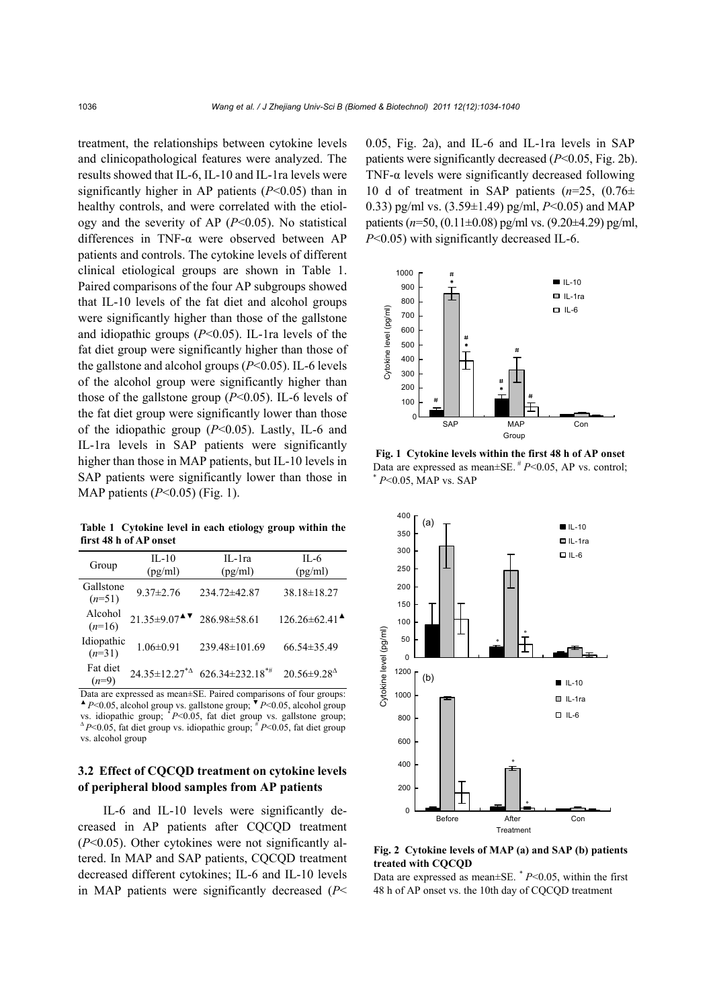treatment, the relationships between cytokine levels and clinicopathological features were analyzed. The results showed that IL-6, IL-10 and IL-1ra levels were significantly higher in AP patients (*P*<0.05) than in healthy controls, and were correlated with the etiology and the severity of AP (*P*<0.05). No statistical differences in TNF-α were observed between AP patients and controls. The cytokine levels of different clinical etiological groups are shown in Table 1. Paired comparisons of the four AP subgroups showed that IL-10 levels of the fat diet and alcohol groups were significantly higher than those of the gallstone and idiopathic groups (*P*<0.05). IL-1ra levels of the fat diet group were significantly higher than those of the gallstone and alcohol groups (*P*<0.05). IL-6 levels of the alcohol group were significantly higher than those of the gallstone group (*P*<0.05). IL-6 levels of the fat diet group were significantly lower than those of the idiopathic group (*P*<0.05). Lastly, IL-6 and IL-1ra levels in SAP patients were significantly higher than those in MAP patients, but IL-10 levels in SAP patients were significantly lower than those in MAP patients (*P*<0.05) (Fig. 1).

**Table 1 Cytokine level in each etiology group within the first 48 h of AP onset**

| Group                  | $IL-10$<br>(pg/ml)                                                     | $II - 1ra$<br>(pg/ml)                                      | $II - 6$<br>(pg/ml)                                  |
|------------------------|------------------------------------------------------------------------|------------------------------------------------------------|------------------------------------------------------|
| Gallstone<br>$(n=51)$  | $9.37 \pm 2.76$                                                        | 234.72±42.87                                               | $38.18 \pm 18.27$                                    |
| Alcohol<br>$(n=16)$    | $21.35\pm9.07$ <sup><math>\blacktriangle</math></sup> $286.98\pm58.61$ |                                                            | $126.26 \pm 62.41$ <sup><math>\triangle</math></sup> |
| Idiopathic<br>$(n=31)$ | $1.06 \pm 0.91$                                                        | 239.48±101.69                                              | $66.54 \pm 35.49$                                    |
| Fat diet<br>$(n=9)$    |                                                                        | $24.35 \pm 12.27^{\ast}$ 626.34 $\pm$ 232.18 <sup>*#</sup> | $20.56 \pm 9.28$ <sup><math>\triangle</math></sup>   |

Data are expressed as mean±SE. Paired comparisons of four groups: ▲ *P*<0.05, alcohol group vs. gallstone group; ▼ *P*<0.05, alcohol group vs. idiopathic group;  $*P<0.05$ , fat diet group vs. gallstone group;  $\Delta P \le 0.05$ , fat diet group vs. idiopathic group;  $\frac{f}{f}P \le 0.05$ , fat diet group vs. alcohol group

## **3.2 Effect of CQCQD treatment on cytokine levels of peripheral blood samples from AP patients**

IL-6 and IL-10 levels were significantly decreased in AP patients after CQCQD treatment (*P*<0.05). Other cytokines were not significantly altered. In MAP and SAP patients, CQCQD treatment decreased different cytokines; IL-6 and IL-10 levels in MAP patients were significantly decreased (*P*< 0.05, Fig. 2a), and IL-6 and IL-1ra levels in SAP patients were significantly decreased (*P*<0.05, Fig. 2b). TNF- $\alpha$  levels were significantly decreased following 10 d of treatment in SAP patients (*n*=25, (0.76± 0.33) pg/ml vs. (3.59±1.49) pg/ml, *P*<0.05) and MAP patients (*n*=50, (0.11±0.08) pg/ml vs. (9.20±4.29) pg/ml, *P*<0.05) with significantly decreased IL-6.



**Fig. 1 Cytokine levels within the first 48 h of AP onset**  Data are expressed as mean±SE. # *<sup>P</sup>*<0.05, AP vs. control; \* *<sup>P</sup>*<0.05, MAP vs. SAP



**Fig. 2 Cytokine levels of MAP (a) and SAP (b) patients treated with CQCQD** 

Data are expressed as mean $\pm$ SE.  $*$  *P*<0.05, within the first 48 h of AP onset vs. the 10th day of CQCQD treatment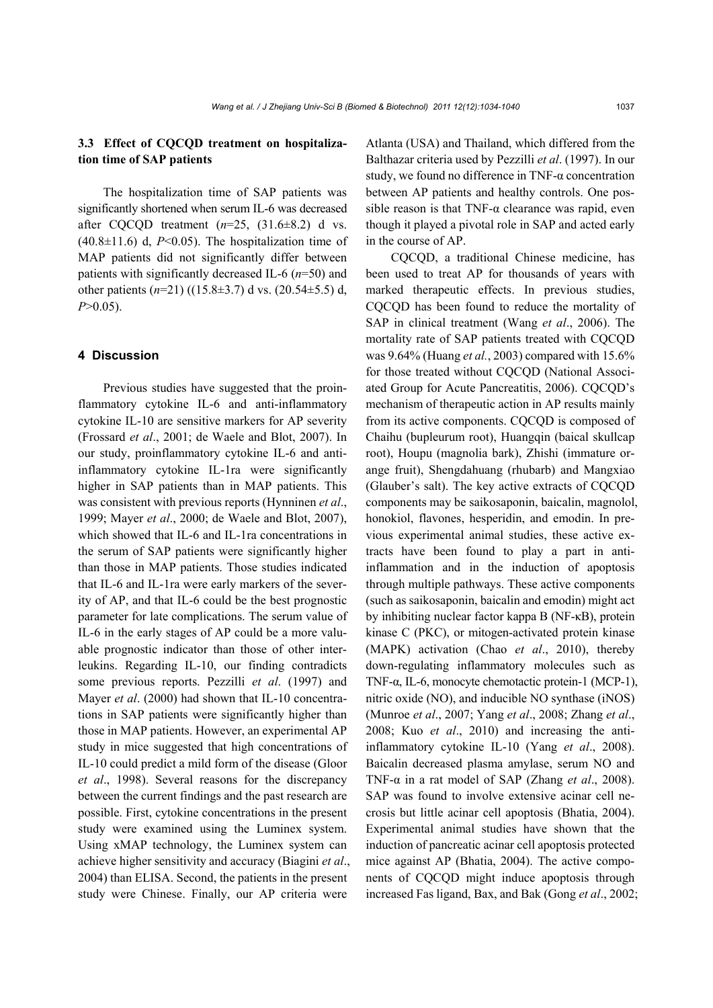## **3.3 Effect of CQCQD treatment on hospitalization time of SAP patients**

The hospitalization time of SAP patients was significantly shortened when serum IL-6 was decreased after CQCQD treatment  $(n=25, (31.6\pm8.2)$  d vs.  $(40.8\pm11.6)$  d,  $P<0.05$ ). The hospitalization time of MAP patients did not significantly differ between patients with significantly decreased IL-6 (*n*=50) and other patients (*n*=21) ((15.8±3.7) d vs. (20.54±5.5) d, *P*>0.05).

#### **4 Discussion**

Previous studies have suggested that the proinflammatory cytokine IL-6 and anti-inflammatory cytokine IL-10 are sensitive markers for AP severity (Frossard *et al*., 2001; de Waele and Blot, 2007). In our study, proinflammatory cytokine IL-6 and antiinflammatory cytokine IL-1ra were significantly higher in SAP patients than in MAP patients. This was consistent with previous reports (Hynninen *et al*., 1999; Mayer *et al*., 2000; de Waele and Blot, 2007), which showed that IL-6 and IL-1ra concentrations in the serum of SAP patients were significantly higher than those in MAP patients. Those studies indicated that IL-6 and IL-1ra were early markers of the severity of AP, and that IL-6 could be the best prognostic parameter for late complications. The serum value of IL-6 in the early stages of AP could be a more valuable prognostic indicator than those of other interleukins. Regarding IL-10, our finding contradicts some previous reports. Pezzilli *et al*. (1997) and Mayer *et al*. (2000) had shown that IL-10 concentrations in SAP patients were significantly higher than those in MAP patients. However, an experimental AP study in mice suggested that high concentrations of IL-10 could predict a mild form of the disease (Gloor *et al*., 1998). Several reasons for the discrepancy between the current findings and the past research are possible. First, cytokine concentrations in the present study were examined using the Luminex system. Using xMAP technology, the Luminex system can achieve higher sensitivity and accuracy (Biagini *et al*., 2004) than ELISA. Second, the patients in the present study were Chinese. Finally, our AP criteria were Atlanta (USA) and Thailand, which differed from the Balthazar criteria used by Pezzilli *et al*. (1997). In our study, we found no difference in TNF-α concentration between AP patients and healthy controls. One possible reason is that  $TNF-\alpha$  clearance was rapid, even though it played a pivotal role in SAP and acted early in the course of AP.

CQCQD, a traditional Chinese medicine, has been used to treat AP for thousands of years with marked therapeutic effects. In previous studies, CQCQD has been found to reduce the mortality of SAP in clinical treatment (Wang *et al*., 2006). The mortality rate of SAP patients treated with CQCQD was 9.64% (Huang *et al.*, 2003) compared with 15.6% for those treated without CQCQD (National Associated Group for Acute Pancreatitis, 2006). CQCQD's mechanism of therapeutic action in AP results mainly from its active components. CQCQD is composed of Chaihu (bupleurum root), Huangqin (baical skullcap root), Houpu (magnolia bark), Zhishi (immature orange fruit), Shengdahuang (rhubarb) and Mangxiao (Glauber's salt). The key active extracts of CQCQD components may be saikosaponin, baicalin, magnolol, honokiol, flavones, hesperidin, and emodin. In previous experimental animal studies, these active extracts have been found to play a part in antiinflammation and in the induction of apoptosis through multiple pathways. These active components (such as saikosaponin, baicalin and emodin) might act by inhibiting nuclear factor kappa B (NF-κB), protein kinase C (PKC), or mitogen-activated protein kinase (MAPK) activation (Chao *et al*., 2010), thereby down-regulating inflammatory molecules such as TNF-α, IL-6, monocyte chemotactic protein-1 (MCP-1), nitric oxide (NO), and inducible NO synthase (iNOS) (Munroe *et al*., 2007; Yang *et al*., 2008; Zhang *et al*., 2008; Kuo *et al*., 2010) and increasing the antiinflammatory cytokine IL-10 (Yang *et al*., 2008). Baicalin decreased plasma amylase, serum NO and TNF-α in a rat model of SAP (Zhang *et al*., 2008). SAP was found to involve extensive acinar cell necrosis but little acinar cell apoptosis (Bhatia, 2004). Experimental animal studies have shown that the induction of pancreatic acinar cell apoptosis protected mice against AP (Bhatia, 2004). The active components of CQCQD might induce apoptosis through increased Fas ligand, Bax, and Bak (Gong *et al*., 2002;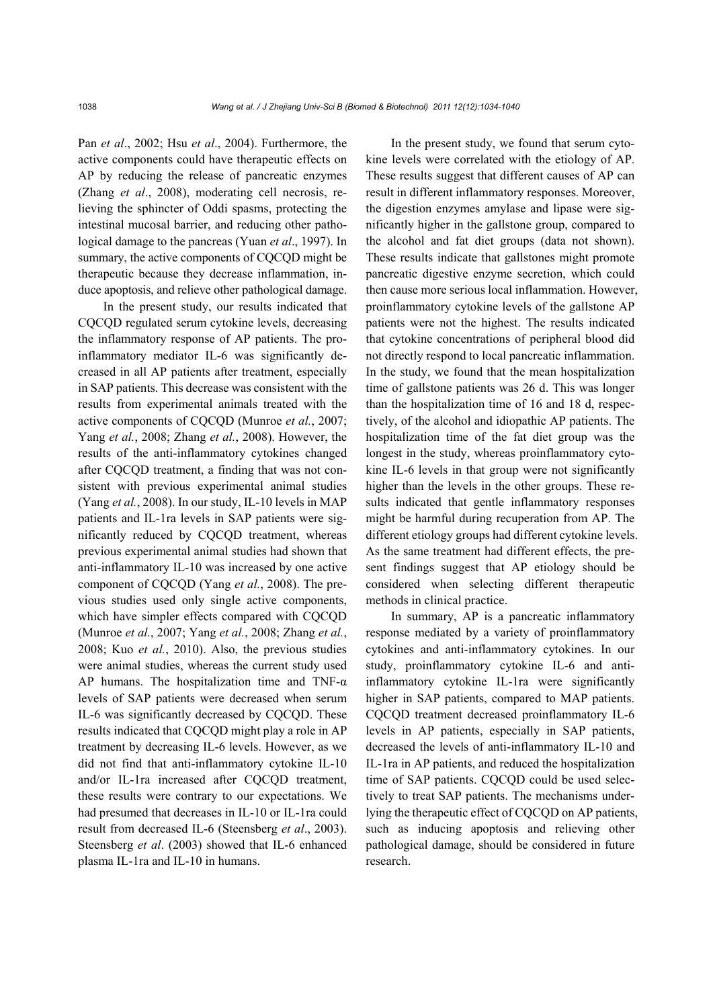Pan *et al*., 2002; Hsu *et al*., 2004). Furthermore, the active components could have therapeutic effects on AP by reducing the release of pancreatic enzymes (Zhang *et al*., 2008), moderating cell necrosis, relieving the sphincter of Oddi spasms, protecting the intestinal mucosal barrier, and reducing other pathological damage to the pancreas (Yuan *et al*., 1997). In summary, the active components of CQCQD might be therapeutic because they decrease inflammation, induce apoptosis, and relieve other pathological damage.

In the present study, our results indicated that CQCQD regulated serum cytokine levels, decreasing the inflammatory response of AP patients. The proinflammatory mediator IL-6 was significantly decreased in all AP patients after treatment, especially in SAP patients. This decrease was consistent with the results from experimental animals treated with the active components of CQCQD (Munroe *et al.*, 2007; Yang *et al.*, 2008; Zhang *et al.*, 2008). However, the results of the anti-inflammatory cytokines changed after CQCQD treatment, a finding that was not consistent with previous experimental animal studies (Yang *et al.*, 2008). In our study, IL-10 levels in MAP patients and IL-1ra levels in SAP patients were significantly reduced by CQCQD treatment, whereas previous experimental animal studies had shown that anti-inflammatory IL-10 was increased by one active component of CQCQD (Yang *et al.*, 2008). The previous studies used only single active components, which have simpler effects compared with CQCQD (Munroe *et al.*, 2007; Yang *et al.*, 2008; Zhang *et al.*, 2008; Kuo *et al.*, 2010). Also, the previous studies were animal studies, whereas the current study used AP humans. The hospitalization time and TNF- $\alpha$ levels of SAP patients were decreased when serum IL-6 was significantly decreased by CQCQD. These results indicated that CQCQD might play a role in AP treatment by decreasing IL-6 levels. However, as we did not find that anti-inflammatory cytokine IL-10 and/or IL-1ra increased after CQCQD treatment, these results were contrary to our expectations. We had presumed that decreases in IL-10 or IL-1ra could result from decreased IL-6 (Steensberg *et al*., 2003). Steensberg *et al*. (2003) showed that IL-6 enhanced plasma IL-1ra and IL-10 in humans.

In the present study, we found that serum cytokine levels were correlated with the etiology of AP. These results suggest that different causes of AP can result in different inflammatory responses. Moreover, the digestion enzymes amylase and lipase were significantly higher in the gallstone group, compared to the alcohol and fat diet groups (data not shown). These results indicate that gallstones might promote pancreatic digestive enzyme secretion, which could then cause more serious local inflammation. However, proinflammatory cytokine levels of the gallstone AP patients were not the highest. The results indicated that cytokine concentrations of peripheral blood did not directly respond to local pancreatic inflammation. In the study, we found that the mean hospitalization time of gallstone patients was 26 d. This was longer than the hospitalization time of 16 and 18 d, respectively, of the alcohol and idiopathic AP patients. The hospitalization time of the fat diet group was the longest in the study, whereas proinflammatory cytokine IL-6 levels in that group were not significantly higher than the levels in the other groups. These results indicated that gentle inflammatory responses might be harmful during recuperation from AP. The different etiology groups had different cytokine levels. As the same treatment had different effects, the present findings suggest that AP etiology should be considered when selecting different therapeutic methods in clinical practice.

In summary, AP is a pancreatic inflammatory response mediated by a variety of proinflammatory cytokines and anti-inflammatory cytokines. In our study, proinflammatory cytokine IL-6 and antiinflammatory cytokine IL-1ra were significantly higher in SAP patients, compared to MAP patients. CQCQD treatment decreased proinflammatory IL-6 levels in AP patients, especially in SAP patients, decreased the levels of anti-inflammatory IL-10 and IL-1ra in AP patients, and reduced the hospitalization time of SAP patients. CQCQD could be used selectively to treat SAP patients. The mechanisms underlying the therapeutic effect of CQCQD on AP patients, such as inducing apoptosis and relieving other pathological damage, should be considered in future research.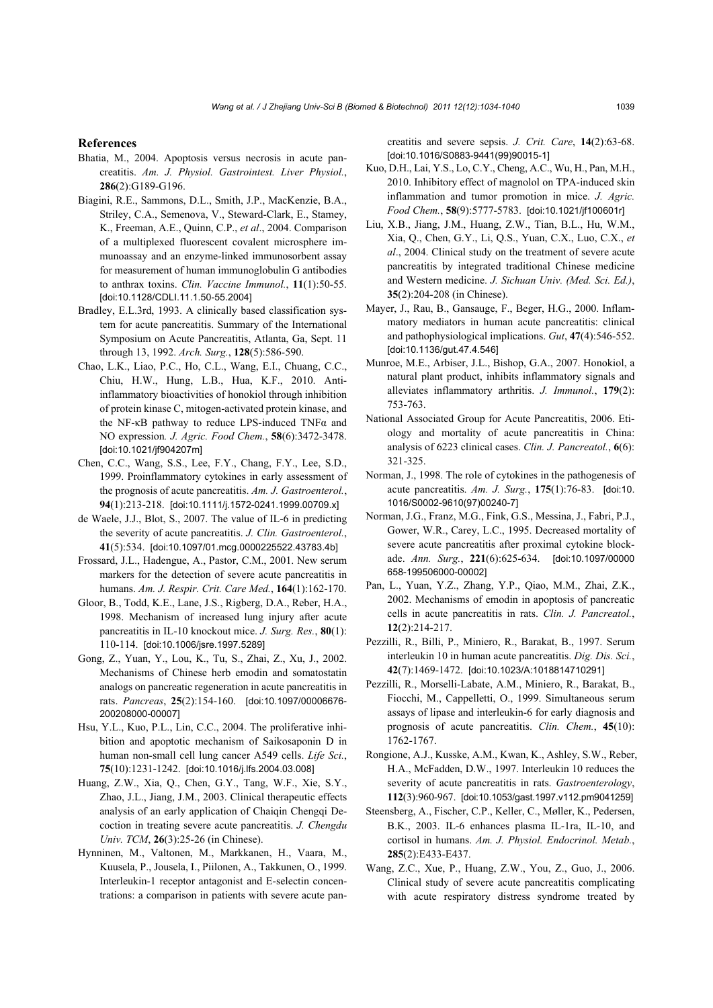#### **References**

- Bhatia, M., 2004. Apoptosis versus necrosis in acute pancreatitis. *Am. J. Physiol. Gastrointest. Liver Physiol.*, **286**(2):G189-G196.
- Biagini, R.E., Sammons, D.L., Smith, J.P., MacKenzie, B.A., Striley, C.A., Semenova, V., Steward-Clark, E., Stamey, K., Freeman, A.E., Quinn, C.P., *et al*., 2004. Comparison of a multiplexed fluorescent covalent microsphere immunoassay and an enzyme-linked immunosorbent assay for measurement of human immunoglobulin G antibodies to anthrax toxins. *Clin. Vaccine Immunol.*, **11**(1):50-55. [doi:10.1128/CDLI.11.1.50-55.2004]
- Bradley, E.L.3rd, 1993. A clinically based classification system for acute pancreatitis. Summary of the International Symposium on Acute Pancreatitis, Atlanta, Ga, Sept. 11 through 13, 1992. *Arch. Surg.*, **128**(5):586-590.
- Chao, L.K., Liao, P.C., Ho, C.L., Wang, E.I., Chuang, C.C., Chiu, H.W., Hung, L.B., Hua, K.F., 2010. Antiinflammatory bioactivities of honokiol through inhibition of protein kinase C, mitogen-activated protein kinase, and the NF-κB pathway to reduce LPS-induced TNFα and NO expression*. J. Agric. Food Chem.*, **58**(6):3472-3478. [doi:10.1021/jf904207m]
- Chen, C.C., Wang, S.S., Lee, F.Y., Chang, F.Y., Lee, S.D., 1999. Proinflammatory cytokines in early assessment of the prognosis of acute pancreatitis. *Am. J. Gastroenterol.*, **94**(1):213-218. [doi:10.1111/j.1572-0241.1999.00709.x]
- de Waele, J.J., Blot, S., 2007. The value of IL-6 in predicting the severity of acute pancreatitis. *J. Clin. Gastroenterol.*, **41**(5):534. [doi:10.1097/01.mcg.0000225522.43783.4b]
- Frossard, J.L., Hadengue, A., Pastor, C.M., 2001. New serum markers for the detection of severe acute pancreatitis in humans. *Am. J. Respir. Crit. Care Med.*, **164**(1):162-170.
- Gloor, B., Todd, K.E., Lane, J.S., Rigberg, D.A., Reber, H.A., 1998. Mechanism of increased lung injury after acute pancreatitis in IL-10 knockout mice. *J. Surg. Res.*, **80**(1): 110-114. [doi:10.1006/jsre.1997.5289]
- Gong, Z., Yuan, Y., Lou, K., Tu, S., Zhai, Z., Xu, J., 2002. Mechanisms of Chinese herb emodin and somatostatin analogs on pancreatic regeneration in acute pancreatitis in rats. *Pancreas*, **25**(2):154-160. [doi:10.1097/00006676- 200208000-00007]
- Hsu, Y.L., Kuo, P.L., Lin, C.C., 2004. The proliferative inhibition and apoptotic mechanism of Saikosaponin D in human non-small cell lung cancer A549 cells. *Life Sci.*, **75**(10):1231-1242. [doi:10.1016/j.lfs.2004.03.008]
- Huang, Z.W., Xia, Q., Chen, G.Y., Tang, W.F., Xie, S.Y., Zhao, J.L., Jiang, J.M., 2003. Clinical therapeutic effects analysis of an early application of Chaiqin Chengqi Decoction in treating severe acute pancreatitis. *J. Chengdu Univ. TCM*, **26**(3):25-26 (in Chinese).
- Hynninen, M., Valtonen, M., Markkanen, H., Vaara, M., Kuusela, P., Jousela, I., Piilonen, A., Takkunen, O., 1999. Interleukin-1 receptor antagonist and E-selectin concentrations: a comparison in patients with severe acute pan-

creatitis and severe sepsis. *J. Crit. Care*, **14**(2):63-68. [doi:10.1016/S0883-9441(99)90015-1]

- Kuo, D.H., Lai, Y.S., Lo, C.Y., Cheng, A.C., Wu, H., Pan, M.H., 2010. Inhibitory effect of magnolol on TPA-induced skin inflammation and tumor promotion in mice. *J. Agric. Food Chem.*, **58**(9):5777-5783. [doi:10.1021/jf100601r]
- Liu, X.B., Jiang, J.M., Huang, Z.W., Tian, B.L., Hu, W.M., Xia, Q., Chen, G.Y., Li, Q.S., Yuan, C.X., Luo, C.X., *et al*., 2004. Clinical study on the treatment of severe acute pancreatitis by integrated traditional Chinese medicine and Western medicine. *J. Sichuan Univ. (Med. Sci. Ed.)*, **35**(2):204-208 (in Chinese).
- Mayer, J., Rau, B., Gansauge, F., Beger, H.G., 2000. Inflammatory mediators in human acute pancreatitis: clinical and pathophysiological implications. *Gut*, **47**(4):546-552. [doi:10.1136/gut.47.4.546]
- Munroe, M.E., Arbiser, J.L., Bishop, G.A., 2007. Honokiol, a natural plant product, inhibits inflammatory signals and alleviates inflammatory arthritis. *J. Immunol.*, **179**(2): 753-763.
- National Associated Group for Acute Pancreatitis, 2006. Etiology and mortality of acute pancreatitis in China: analysis of 6223 clinical cases. *Clin. J. Pancreatol.*, **6**(6): 321-325.
- Norman, J., 1998. The role of cytokines in the pathogenesis of acute pancreatitis. *Am. J. Surg.*, **175**(1):76-83. [doi:10. 1016/S0002-9610(97)00240-7]
- Norman, J.G., Franz, M.G., Fink, G.S., Messina, J., Fabri, P.J., Gower, W.R., Carey, L.C., 1995. Decreased mortality of severe acute pancreatitis after proximal cytokine blockade. *Ann. Surg.*, **221**(6):625-634. [doi:10.1097/00000 658-199506000-00002]
- Pan, L., Yuan, Y.Z., Zhang, Y.P., Qiao, M.M., Zhai, Z.K., 2002. Mechanisms of emodin in apoptosis of pancreatic cells in acute pancreatitis in rats. *Clin. J. Pancreatol.*, **12**(2):214-217.
- Pezzilli, R., Billi, P., Miniero, R., Barakat, B., 1997. Serum interleukin 10 in human acute pancreatitis. *Dig. Dis. Sci.*, **42**(7):1469-1472. [doi:10.1023/A:1018814710291]
- Pezzilli, R., Morselli-Labate, A.M., Miniero, R., Barakat, B., Fiocchi, M., Cappelletti, O., 1999. Simultaneous serum assays of lipase and interleukin-6 for early diagnosis and prognosis of acute pancreatitis. *Clin. Chem.*, **45**(10): 1762-1767.
- Rongione, A.J., Kusske, A.M., Kwan, K., Ashley, S.W., Reber, H.A., McFadden, D.W., 1997. Interleukin 10 reduces the severity of acute pancreatitis in rats. *Gastroenterology*, **112**(3):960-967. [doi:10.1053/gast.1997.v112.pm9041259]
- Steensberg, A., Fischer, C.P., Keller, C., Møller, K., Pedersen, B.K., 2003. IL-6 enhances plasma IL-1ra, IL-10, and cortisol in humans. *Am. J. Physiol. Endocrinol. Metab.*, **285**(2):E433-E437.
- Wang, Z.C., Xue, P., Huang, Z.W., You, Z., Guo, J., 2006. Clinical study of severe acute pancreatitis complicating with acute respiratory distress syndrome treated by